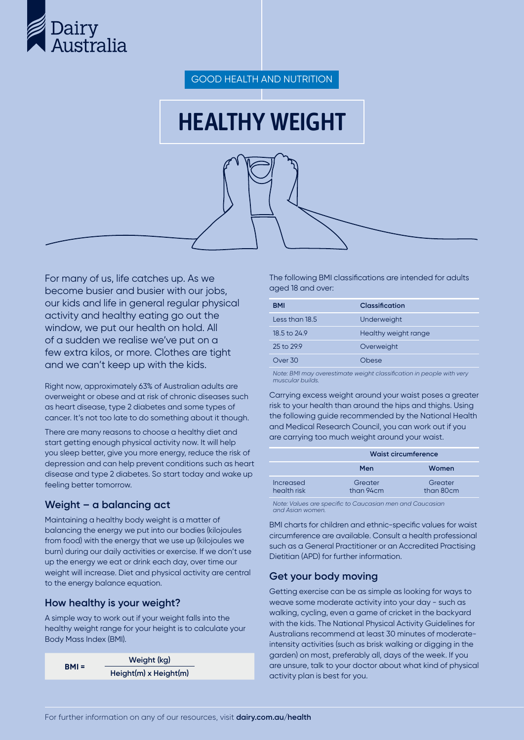

GOOD HEALTH AND NUTRITION

# HEALTHY WEIGHT

For many of us, life catches up. As we become busier and busier with our jobs, our kids and life in general regular physical activity and healthy eating go out the window, we put our health on hold. All of a sudden we realise we've put on a few extra kilos, or more. Clothes are tight and we can't keep up with the kids.

Right now, approximately 63% of Australian adults are overweight or obese and at risk of chronic diseases such as heart disease, type 2 diabetes and some types of cancer. It's not too late to do something about it though.

There are many reasons to choose a healthy diet and start getting enough physical activity now. It will help you sleep better, give you more energy, reduce the risk of depression and can help prevent conditions such as heart disease and type 2 diabetes. So start today and wake up feeling better tomorrow.

## **Weight – a balancing act**

Maintaining a healthy body weight is a matter of balancing the energy we put into our bodies (kilojoules from food) with the energy that we use up (kilojoules we burn) during our daily activities or exercise. If we don't use up the energy we eat or drink each day, over time our weight will increase. Diet and physical activity are central to the energy balance equation.

## **How healthy is your weight?**

A simple way to work out if your weight falls into the healthy weight range for your height is to calculate your Body Mass Index (BMI).

| $BMI =$ | Weight (kg)           |
|---------|-----------------------|
|         | Height(m) x Height(m) |

The following BMI classifications are intended for adults aged 18 and over:

| BMI                     | Classification       |
|-------------------------|----------------------|
| Less than 18.5          | Underweight          |
| $18.5 \text{ to } 24.9$ | Healthy weight range |
| 25 to 299               | Overweight           |
| Over 30                 | Ohese                |
|                         |                      |

*Note: BMI may overestimate weight classification in people with very muscular builds.*

Carrying excess weight around your waist poses a greater risk to your health than around the hips and thighs. Using the following guide recommended by the National Health and Medical Research Council, you can work out if you are carrying too much weight around your waist.

|                          | <b>Waist circumference</b> |                      |  |
|--------------------------|----------------------------|----------------------|--|
|                          | Men                        | Women                |  |
| Increased<br>health risk | Greater<br>than 94cm       | Greater<br>than 80cm |  |

*Note: Values are specific to Caucasian men and Caucasian and Asian women.*

BMI charts for children and ethnic-specific values for waist circumference are available. Consult a health professional such as a General Practitioner or an Accredited Practising Dietitian (APD) for further information.

# **Get your body moving**

Getting exercise can be as simple as looking for ways to weave some moderate activity into your day - such as walking, cycling, even a game of cricket in the backyard with the kids. The National Physical Activity Guidelines for Australians recommend at least 30 minutes of moderateintensity activities (such as brisk walking or digging in the garden) on most, preferably all, days of the week. If you are unsure, talk to your doctor about what kind of physical activity plan is best for you.